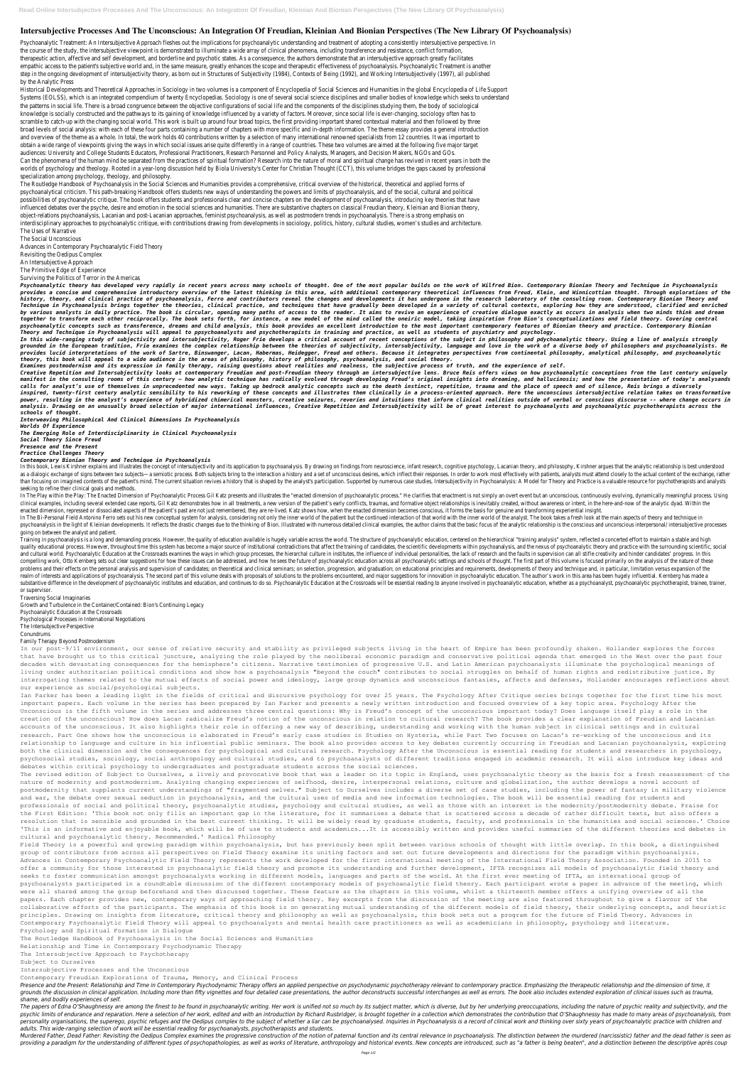## **Intersubjective Processes And The Unconscious: An Integration Of Freudian, Kleinian And Bionian Perspectives (The New Library Of Psychoanalysis)**

Psychoanalytic Treatment: An Intersubjective Approach fleshes out the implications for psychoanalytic understanding and treatment of adopting a consistently intersubjective perspective. In the course of the study, the intersubjective viewpoint is demonstrated to illuminate a wide array of clinical phenomena, including transference and resistance, conflict formation, therapeutic action, affective and self development, and borderline and psychotic states. As a consequence, the authors demonstrate that an intersubjective approach greatly facilitates empathic access to the patient's subjective world and, in the same measure, greatly enhances the scope and therapeutic effectiveness of psychoanalysis. Psychoanalytic Treatment is another step in the ongoing development of intersubjectivity theory, as born out in Structures of Subjectivity (1984), Contexts of Being (1992), and Working Intersubjectively (1997), all published by the Analytic Press

Historical Developments and Theoretical Approaches in Sociology in two volumes is a component of Encyclopedia of Social Sciences and Humanities in the global Encyclopedia of Life Support Systems (EOLSS), which is an integrated compendium of twenty Encyclopedias. Sociology is one of several social science disciplines and smaller bodies of knowledge which seeks to understand the patterns in social life. There is a broad congruence between the objective configurations of social life and the components of the disciplines studying them, the body of sociological knowledge is socially constructed and the pathways to its gaining of knowledge influenced by a variety of factors. Moreover, since social life is ever-changing, sociology often has to scramble to catch-up with the changing social world. This work is built up around four broad topics, the first providing important shared contextual material and then followed by three broad levels of social analysis: with each of these four parts containing a number of chapters with more specific and in-depth information. The theme essay provides a general introduction and overview of the theme as a whole. In total, the work holds 40 contributions written by a selection of many international renowned specialists from 12 countries. It was important to obtain a wide range of viewpoints giving the ways in which social issues arise quite differently in a range of countries. These two volumes are aimed at the following five major target audiences: University and College Students Educators, Professional Practitioners, Research Personnel and Policy Analysts, Managers, and Decision Makers, NGOs and GOs. Can the phenomena of the human mind be separated from the practices of spiritual formation? Research into the nature of moral and spiritual change has revived in recent years in both the worlds of psychology and theology. Rooted in a year-long discussion held by Biola University's Center for Christian Thought (CCT), this volume bridges the gaps caused by professional specialization among psychology, theology, and philosophy.

The Routledge Handbook of Psychoanalysis in the Social Sciences and Humanities provides a comprehensive, critical overview of the historical, theoretical and applied forms of psychoanalytical criticism. This path-breaking Handbook offers students new ways of understanding the powers and limits of psychoanalysis, and of the social, cultural and political possibilities of psychoanalytic critique. The book offers students and professionals clear and concise chapters on the development of psychoanalysis, introducing key theories that have influenced debates over the psyche, desire and emotion in the social sciences and humanities. There are substantive chapters on classical Freudian theory, Kleinian and Bionian theory, object-relations psychoanalysis, Lacanian and post-Lacanian approaches, feminist psychoanalysis, as well as postmodern trends in psychoanalysis. There is a strong emphasis on interdisciplinary approaches to psychoanalytic critique, with contributions drawing from developments in sociology, politics, history, cultural studies, women's studies and architecture. The Uses of Narrative

Creative Repetition and Intersubjectivity looks at contemporary Freudian and post-Freudian theory through an intersubjective lens. Bruce Reis offers views on how psychoanalytic conceptions from the last century uniquely manifest in the consulting rooms of this century — how analytic technique has radically evolved through developing Freud's original insights into dreaming, and hallucinosis; and how the presentation of today's analysands *calls for analyst's use of themselves in unprecedented new ways. Taking up bedrock analytic concepts such as the death instinct, repetition, trauma and the place of speech and of silence, Reis brings a diversely* inspired, twenty-first century analytic sensibility to his reworking of these concepts and illustrates them clinically in a process-oriented approach. Here the unconscious intersubjective relation takes on transformative power, resulting in the analyst's experience of hybridized chimerical monsters, creative seizures, reveries and intuitions that inform clinical realities outside of verbal or conscious discourse -- where change occurs in *analysis. Drawing on an unusually broad selection of major international influences, Creative Repetition and Intersubjectivity will be of great interest to psychoanalysts and psychoanalytic psychotherapists across the schools of thought. Interweaving Philosophical And Clinical Dimensions In Psychoanalysis Worlds Of Experience The Emerging Role of Interdisciplinarity in Clinical Psychoanalysis Social Theory Since Freud Presence and the Present Practice Challenges Theory*

The Social Unconscious

Advances in Contemporary Psychoanalytic Field Theory

Revisiting the Oedipus Complex

An Intersubjective Approach

The Primitive Edge of Experience

## Surviving the Politics of Terror in the Americas

In this book, Lewis Kirshner explains and illustrates the concept of intersubjectivity and its application to psychoanalysis. By drawing on findings from neuroscience, infant research, cognitive psychology, Lacanian theory as a dialogic exchange of signs between two subjects—a semiotic process. Both subjects bring to the interaction a history and a set of unconscious desires, which inflect their responses. In order to work most effectively w than focusing on imagined contents of the patient's mind. The current situation revives a history that is shaped by the analyst's participation. Supported by numerous case studies, Intersubiectivity in Psychoanalysis: A Mo seeking to refine their clinical goals and methods.

In The Play within the Play: The Enacted Dimension of Psychoanalytic Process Gil Katz presents and illustrates the "enacted dimension of psychoanalytic process." He clarifies that enactment is not simply an overt event but clinical examples, including several extended case reports, Gil Katz demonstrates how in all treatments, a new version of the patient's early conflicts, traumas, and formative object relationships is inevitably created, wi enacted dimension, repressed or dissociated aspects of the patient's past are not just remembered, they are re-lived. Katz shows how, when the enacted dimension becomes conscious, it forms the basis for genuine and transfo

*Psychoanalytic theory has developed very rapidly in recent years across many schools of thought. One of the most popular builds on the work of Wilfred Bion. Contemporary Bionian Theory and Technique in Psychoanalysis* provides a concise and comprehensive introductory overview of the latest thinking in this area, with additional contemporary theoretical influences from Freud, Klein, and Winnicottian thought. Through explorations of the *history, theory, and clinical practice of psychoanalysis, Ferro and contributors reveal the changes and developments it has undergone in the research laboratory of the consulting room. Contemporary Bionian Theory and* Technique in Psychoanalysis brings together the theories, clinical practice, and techniques that have gradually been developed in a variety of cultural contexts, exploring how they are understood, clarified and enriched by various analysts in daily practice. The book is circular, opening many paths of access to the reader. It aims to revive an experience of creative dialogue exactly as occurs in analysis when two minds think and dream *together to transform each other reciprocally. The book sets forth, for instance, a new model of the mind called the oneiric model, taking inspiration from Bion's conceptualizations and field theory. Covering central psychoanalytic concepts such as transference, dreams and child analysis, this book provides an excellent introduction to the most important contemporary features of Bionian theory and practice. Contemporary Bionian Theory and Technique in Psychoanalysis will appeal to ppsychoanalysts and psychotherapists in training and practice, as well as students of psychiatry and psychology.*

In The Bi-Personal Field Antonino Ferro sets out his new conceptual system for analysis, considering not only the inner world of the patient but the continued interaction of that world with the inner world of the analyst. psychoanalysis in the light of Kleinian developments. It reflects the drastic changes due to the thinking of Bion. Illustrated with numerous detailed clinical examples, the author claims that the basic focus of the analyti going on between the analyst and patient.

*In this wide-ranging study of subjectivity and intersubjectivity, Roger Frie develops a critical account of recent conceptions of the subject in philosophy and pdychoanalytic theory. Using a line of analysis strongly* grounded in the European tradition, Frie examines the complex relationship between the theories of subjectivity, intersubjectivity, language and love in the work of a diverse body of philosophers and psychoanalyists. He *provides lucid interpretations of the work of Sartre, Binswanger, Lacan, Habermas, Heidegger, Freud and others. Because it integrates perspectives from continental philosophy, analytical philosophy, and psychoanalytic theory, this book will appeal to a wide audience in the areas of philosophy, history of philosophy, psychoanalysis, and social theory.*

Training in psychoanalysis is a long and demanding process. However, the quality of education available is hugely variable across the world. The structure of psychoanalytic education, centered on the hierarchical "training quality educational process. However, throughout time this system has become a major source of institutional contradictions that affect the training of candidates, the scientific developments within psychoanalysis, and the and cultural world. Psychoanalytic Education at the Crossroads examines the ways in which group processes, the hierarchal culture in institutes, the influence of individual personalities, the lack of research and the fault compelling work, Otto Kernberg sets out clear suggestions for how these issues can be addressed, and how he sees the future of psychoanalytic education across all psychoanalytic settings and schools of thought. The first p problems and their effects on the personal analysis and supervision of candidates; on theoretical and clinical seminars; on selection, progression, and graduation; on educational principles and requirements, developments o realm of interests and applications of psychoanalysis. The second part of this volume deals with proposals of solutions to the problems encountered, and major suggestions for innovation in psychoanalytic education. The aut substantive difference in the development of psychoanalytic institutes and education, and continues to do so. Psychoanalytic Education at the Crossroads will be essential reading to anyone involved in psychoanalytic educat or supervisor.

*Examines postmodernism and its expression in family therapy, raising questions about realities and realness, the subjective process of truth, and the experience of self.*

## *Contemporary Bionian Theory and Technique in Psychoanalysis*

The revised edition of Subject to Ourselves, a lively and provocative book that was a leader on its topic in England, uses psychoanalytic theory as the basis for a fresh reassessment of the nature of modernity and postmodernism. Analyzing changing experiences of selfhood, desire, interpersonal relations, culture and globalization, the author develops a novel account of postmodernity that supplants current understandings of "fragmented selves." Subject to Ourselves includes a diverse set of case studies, including the power of fantasy in military violence and war, the debate over sexual seduction in psychoanalysis, and the cultural uses of media and new information technologies. The book will be essential reading for students and professionals of social and political theory, psychoanalytic studies, psychology and cultural studies, as well as those with an interest in the modernity/postmodernity debate. Praise for the First Edition: 'This book not only fills an important gap in the literature, for it summarises a debate that is scattered across a decade of rather difficult texts, but also offers a resolution that is sensible and grounded in the best current thinking. It will be widely read by graduate students, faculty, and professionals in the humanities and social sciences.' Choice 'This is an informative and enjoyable book, which will be of use to students and academics...It is accessibly written and provides useful summaries of the different theories and debates in cultural and psychoanalytic theory. Recommended.' Radical Philosophy Field Theory is a powerful and growing paradigm within psychoanalysis, but has previously been split between various schools of thought with little overlap. In this book, a distinguished group of contributors from across all perspectives on Field Theory examine its uniting factors and set out future developments and directions for the paradigm within psychoanalysis. Advances in Contemporary Psychoanalytic Field Theory represents the work developed for the first international meeting of the International Field Theory Association. Founded in 2015 to offer a community for those interested in psychoanalytic field theory and promote its understanding and further development, IFTA recognizes all models of psychoanalytic field theory and seeks to foster communication amongst psychoanalysts working in different models, languages and parts of the world. At the first ever meeting of IFTA, an international group of psychoanalysts participated in a roundtable discussion of the different contemporary models of psychoanalytic field theory. Each participant wrote a paper in advance of the meeting, which were all shared among the group beforehand and then discussed together. These feature as the chapters in this volume, whilst a thirteenth member offers a unifying overview of all the papers. Each chapter provides new, contemporary ways of approaching field theory. Key excerpts from the discussion of the meeting are also featured throughout to give a flavour of the collaborative efforts of the participants. The emphasis of this book is on generating mutual understanding of the different models of field theory, their underlying concepts, and heuristic principles. Drawing on insights from literature, critical theory and philosophy as well as psychoanalysis, this book sets out a program for the future of Field Theory. Advances in Contemporary Psychoanalytic Field Theory will appeal to psychoanalysts and mental health care practitioners as well as academicians in philosophy, psychology and literature. Psychology and Spiritual Formation in Dialogue The Routledge Handbook of Psychoanalysis in the Social Sciences and Humanities

Presence and the Present: Relationship and Time in Contemporary Psychodynamic Therapy offers an applied perspective on psychodynamic psychotherapy relevant to contemporary practice. Emphasizing the therapeutic relationship grounds the discussion in clinical application. Including more than fifty vignettes and four detailed case presentations, the author deconstructs successful interchanges as well as errors. The book also includes extended e *shame, and bodily experiences of self.*

The papers of Edna O'Shaughnessy are among the finest to be found in psychoanalytic writing. Her work is unified not so much by its subject matter, which is diverse, but by her underlying preoccupations, including the natu psychic limits of endurance and reparation. Here a selection of her work, edited and with an introduction by Richard Rusbridger, is brought together in a collection which demonstrates the contribution that O'Shaughnessy ha personality organisations, the superego, psychic refuges and the Oedipus complex to the subject of whether a liar can be psychoanalysed. Inquiries in Psychoanalysis is a record of clinical work and thinking over sixty year *adults. This wide-ranging selection of work will be essential reading for psychoanalysts, psychotherapists and students.*

Murdered Father, Dead Father: Revisiting the Oedipus Complex examines the progressive construction of the notion of paternal function and its central relevance in psychoanalysis. The distinction between the murdered (narci providing a paradigm for the understanding of different types of psychopathologies, as well as works of literature, anthropology and historical events. New concepts are introduced, such as "a father is being beaten", and a

Traversing Social Imaginaries Growth and Turbulence in the Container/Contained: Bion's Continuing Legacy Psychoanalytic Education at the Crossroads Psychological Processes in International Negotiations The Intersubjective Perspective Conundrums Family Therapy Beyond Postmodernism

In our post-9/11 environment, our sense of relative security and stability as privileged subjects living in the heart of Empire has been profoundly shaken. Hollander explores the forces that have brought us to this critical juncture, analyzing the role played by the neoliberal economic paradigm and conservative political agenda that emerged in the West over the past four decades with devastating consequences for the hemisphere's citizens. Narrative testimonies of progressive U.S. and Latin American psychoanalysts illuminate the psychological meanings of living under authoritarian political conditions and show how a psychoanalysis "beyond the couch" contributes to social struggles on behalf of human rights and redistributive justice. By interrogating themes related to the mutual effects of social power and ideology, large group dynamics and unconscious fantasies, affects and defenses, Hollander encourages reflections about our experience as social/psychological subjects.

Ian Parker has been a leading light in the fields of critical and discursive psychology for over 25 years. The Psychology After Critique series brings together for the first time his most important papers. Each volume in the series has been prepared by Ian Parker and presents a newly written introduction and focused overview of a key topic area. Psychology After the Unconscious is the fifth volume in the series and addresses three central questions: Why is Freud's concept of the unconscious important today? Does language itself play a role in the creation of the unconscious? How does Lacan radicalize Freud's notion of the unconscious in relation to cultural research? The book provides a clear explanation of Freudian and Lacanian accounts of the unconscious. It also highlights their role in offering a new way of describing, understanding and working with the human subject in clinical settings and in cultural research. Part One shows how the unconscious is elaborated in Freud's early case studies in Studies on Hysteria, while Part Two focuses on Lacan's re-working of the unconscious and its relationship to language and culture in his influential public seminars. The book also provides access to key debates currently occurring in Freudian and Lacanian psychoanalysis, exploring both the clinical dimension and the consequences for psychological and cultural research. Psychology After the Unconscious is essential reading for students and researchers in psychology, psychosocial studies, sociology, social anthropology and cultural studies, and to psychoanalysts of different traditions engaged in academic research. It will also introduce key ideas and debates within critical psychology to undergraduates and postgraduate students across the social sciences.

Relationship and Time in Contemporary Psychodynamic Therapy

The Intersubjective Approach to Psychotherapy

Subject to Ourselves

Intersubjective Processes and the Unconscious

Contemporary Freudian Explorations of Trauma, Memory, and Clinical Process